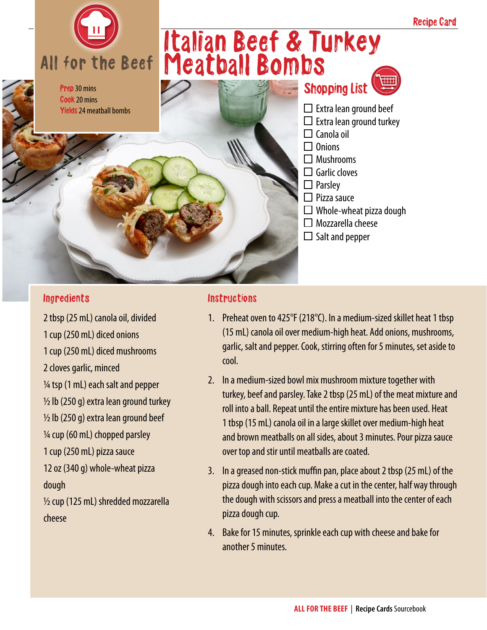

Prep 30 mins Cook 20 mins **Yields** 24 meatball bombs

## Italian Beef & Turkey Meatball Bombs

Shopping List  $\Box$  Extra lean ground beef  $\Box$  Extra lean ground turkey  $\Box$  Canola oil  $\Box$  Onions  $\Box$  Mushrooms  $\Box$  Garlic cloves  $\Box$  Parsley  $\Box$  Pizza sauce □ Whole-wheat pizza dough  $\Box$  Mozzarella cheese  $\Box$  Salt and pepper

## **Ingredients**

2 tbsp (25 mL) canola oil, divided 1 cup (250 mL) diced onions 1 cup (250 mL) diced mushrooms 2 cloves garlic, minced  $\frac{1}{4}$  tsp (1 mL) each salt and pepper  $\frac{1}{2}$  lb (250 g) extra lean ground turkey  $\frac{1}{2}$  lb (250 g) extra lean ground beef 1/4 cup (60 mL) chopped parsley 1 cup (250 mL) pizza sauce 12 oz (340 g) whole-wheat pizza dough  $1/2$  cup (125 mL) shredded mozzarella cheese

## Instructions

- 1. Preheat oven to 425°F (218°C). In a medium-sized skillet heat 1 tbsp (15 mL) canola oil over medium-high heat. Add onions, mushrooms, garlic, salt and pepper. Cook, stirring often for 5 minutes, set aside to cool.
- 2. In a medium-sized bowl mix mushroom mixture together with turkey, beef and parsley. Take 2 tbsp (25 mL) of the meat mixture and roll into a ball. Repeat until the entire mixture has been used. Heat 1 tbsp (15 mL) canola oil in a large skillet over medium-high heat and brown meatballs on all sides, about 3 minutes. Pour pizza sauce over top and stir until meatballs are coated.
- 3. In a greased non-stick muffin pan, place about 2 tbsp (25 mL) of the pizza dough into each cup. Make a cut in the center, half way through the dough with scissors and press a meatball into the center of each pizza dough cup.
- 4. Bake for 15 minutes, sprinkle each cup with cheese and bake for another 5 minutes.